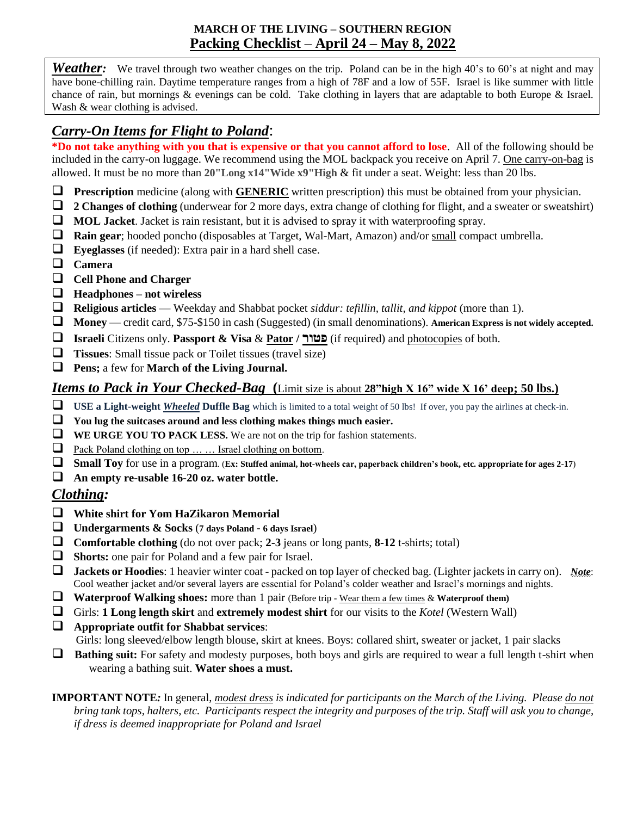## **MARCH OF THE LIVING – SOUTHERN REGION Packing Checklist** – **April 24 – May 8, 2022**

*Weather*: We travel through two weather changes on the trip. Poland can be in the high 40's to 60's at night and may have bone-chilling rain. Daytime temperature ranges from a high of 78F and a low of 55F. Israel is like summer with little chance of rain, but mornings & evenings can be cold. Take clothing in layers that are adaptable to both Europe & Israel. Wash & wear clothing is advised.

## *Carry-On Items for Flight to Poland*:

**\*Do not take anything with you that is expensive or that you cannot afford to lose**. All of the following should be included in the carry-on luggage. We recommend using the MOL backpack you receive on April 7. One carry-on-bag is allowed. It must be no more than **20"Long x14"Wide x9"High** & fit under a seat. Weight: less than 20 lbs.

- **Prescription** medicine (along with **GENERIC** written prescription) this must be obtained from your physician.
- **2 Changes of clothing** (underwear for 2 more days, extra change of clothing for flight, and a sweater or sweatshirt)
- **MOL Jacket**. Jacket is rain resistant, but it is advised to spray it with waterproofing spray.
- **Rain gear**; hooded poncho (disposables at Target, Wal-Mart, Amazon) and/or small compact umbrella.
- **Eyeglasses** (if needed): Extra pair in a hard shell case.
- **Camera**
- **Cell Phone and Charger**
- **Headphones – not wireless**
- **Religious articles** Weekday and Shabbat pocket *siddur: tefillin, tallit, and kippot* (more than 1).
- **Money** credit card, \$75-\$150 in cash (Suggested) (in small denominations). **American Express is not widely accepted.**
- **Israeli** Citizens only. **Passport & Visa** & **Pator / פטור**) if required) and photocopies of both.
- **Tissues**: Small tissue pack or Toilet tissues (travel size)
- **Pens;** a few for **March of the Living Journal.**

## *Items to Pack in Your Checked-Bag* **(**Limit size is about **28"high X 16" wide X 16' deep; 50 lbs.)**

- **USE a Light-weight** *Wheeled* **Duffle Bag** which is limited to a total weight of 50 lbs! If over, you pay the airlines at check-in.
- **You lug the suitcases around and less clothing makes things much easier.**
- **WE URGE YOU TO PACK LESS.** We are not on the trip for fashion statements.
- □ Pack Poland clothing on top ... ... Israel clothing on bottom.
- **Small Toy** for use in a program. (**Ex: Stuffed animal, hot-wheels car, paperback children's book, etc. appropriate for ages 2-17**)
- **An empty re-usable 16-20 oz. water bottle.**

#### *Clothing:*

- **White shirt for Yom HaZikaron Memorial**
- **Undergarments & Socks** (**<sup>7</sup> days Poland <sup>6</sup> days Israel**)
- **Comfortable clothing** (do not over pack; **2-3** jeans or long pants, **8-12** t-shirts; total)
- **Shorts:** one pair for Poland and a few pair for Israel.
- **Jackets or Hoodies**: 1 heavier winter coat packed on top layer of checked bag. (Lighter jackets in carry on). *Note*: Cool weather jacket and/or several layers are essential for Poland's colder weather and Israel's mornings and nights.
- **Waterproof Walking shoes:** more than 1 pair (Before trip Wear them a few times & **Waterproof them)**
- Girls: **1 Long length skirt** and **extremely modest shirt** for our visits to the *Kotel* (Western Wall)
- **Appropriate outfit for Shabbat services**: Girls: long sleeved/elbow length blouse, skirt at knees. Boys: collared shirt, sweater or jacket, 1 pair slacks
- **Bathing suit:** For safety and modesty purposes, both boys and girls are required to wear a full length t-shirt when wearing a bathing suit. **Water shoes a must.**

**IMPORTANT NOTE***:* In general, *modest dress is indicated for participants on the March of the Living. Please do not bring tank tops, halters, etc. Participants respect the integrity and purposes of the trip. Staff will ask you to change, if dress is deemed inappropriate for Poland and Israel*